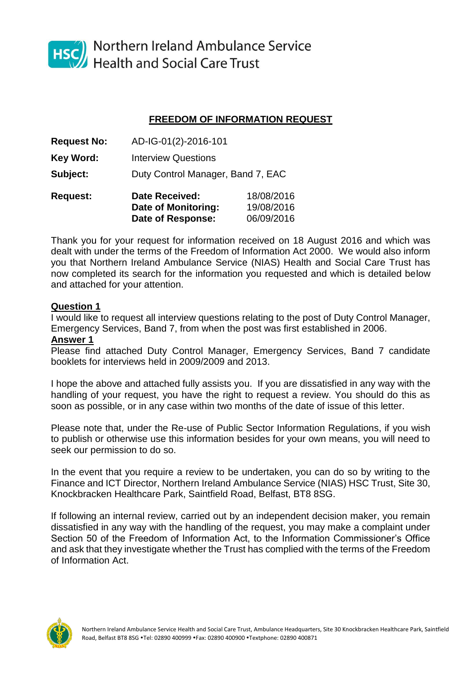

HSC<sup>(1</sup>)</sub> Northern Ireland Ambulance Service **Health and Social Care Trust** 

## **FREEDOM OF INFORMATION REQUEST**

| <b>Request No:</b> | AD-IG-01(2)-2016-101              |            |  |
|--------------------|-----------------------------------|------------|--|
| <b>Key Word:</b>   | <b>Interview Questions</b>        |            |  |
| Subject:           | Duty Control Manager, Band 7, EAC |            |  |
| <b>Request:</b>    | <b>Date Received:</b>             | 18/08/2016 |  |
|                    | <b>Date of Monitoring:</b>        | 19/08/2016 |  |
|                    | Date of Response:                 | 06/09/2016 |  |

Thank you for your request for information received on 18 August 2016 and which was dealt with under the terms of the Freedom of Information Act 2000. We would also inform you that Northern Ireland Ambulance Service (NIAS) Health and Social Care Trust has now completed its search for the information you requested and which is detailed below and attached for your attention.

## **Question 1**

I would like to request all interview questions relating to the post of Duty Control Manager, Emergency Services, Band 7, from when the post was first established in 2006.

## **Answer 1**

Please find attached Duty Control Manager, Emergency Services, Band 7 candidate booklets for interviews held in 2009/2009 and 2013.

I hope the above and attached fully assists you. If you are dissatisfied in any way with the handling of your request, you have the right to request a review. You should do this as soon as possible, or in any case within two months of the date of issue of this letter.

Please note that, under the Re-use of Public Sector Information Regulations, if you wish to publish or otherwise use this information besides for your own means, you will need to seek our permission to do so.

In the event that you require a review to be undertaken, you can do so by writing to the Finance and ICT Director, Northern Ireland Ambulance Service (NIAS) HSC Trust, Site 30, Knockbracken Healthcare Park, Saintfield Road, Belfast, BT8 8SG.

If following an internal review, carried out by an independent decision maker, you remain dissatisfied in any way with the handling of the request, you may make a complaint under Section 50 of the Freedom of Information Act, to the Information Commissioner's Office and ask that they investigate whether the Trust has complied with the terms of the Freedom of Information Act.